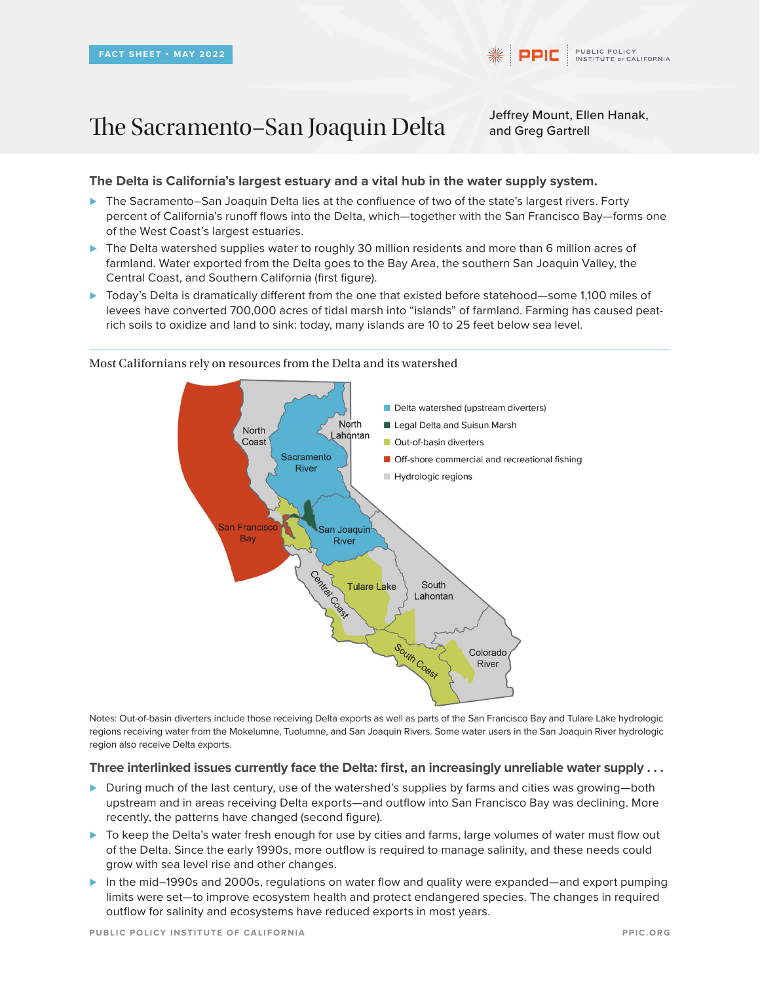# The Sacramento–San Joaquin Delta Jeffrey Mount, Ellen Hanak,

and Greg Gartrell

## **The Delta is California's largest estuary and a vital hub in the water supply system.**

- *⊲* The Sacramento–San Joaquin Delta lies at the confluence of two of the state's largest rivers. Forty percent of California's runoff flows into the Delta, which—together with the San Francisco Bay—forms one of the West Coast's largest estuaries.
- *⊲* The Delta watershed supplies water to roughly 30 million residents and more than 6 million acres of farmland. Water exported from the Delta goes to the Bay Area, the southern San Joaquin Valley, the Central Coast, and Southern California (first figure).
- *⊲* Today's Delta is dramatically different from the one that existed before statehood—some 1,100 miles of levees have converted 700,000 acres of tidal marsh into "islands" of farmland. Farming has caused peatrich soils to oxidize and land to sink: today, many islands are 10 to 25 feet below sea level.



Most Californians rely on resources from the Delta and its watershed

Notes: Out-of-basin diverters include those receiving Delta exports as well as parts of the San Francisco Bay and Tulare Lake hydrologic regions receiving water from the Mokelumne, Tuolumne, and San Joaquin Rivers. Some water users in the San Joaquin River hydrologic region also receive Delta exports.

### **Three interlinked issues currently face the Delta: first, an increasingly unreliable water supply . . .**

- *⊲* During much of the last century, use of the watershed's supplies by farms and cities was growing—both upstream and in areas receiving Delta exports—and outflow into San Francisco Bay was declining. More recently, the patterns have changed (second figure).
- *⊲* To keep the Delta's water fresh enough for use by cities and farms, large volumes of water must flow out of the Delta. Since the early 1990s, more outflow is required to manage salinity, and these needs could grow with sea level rise and other changes.
- *⊲* In the mid–1990s and 2000s, regulations on water flow and quality were expanded—and export pumping limits were set—to improve ecosystem health and protect endangered species. The changes in required outflow for salinity and ecosystems have reduced exports in most years.